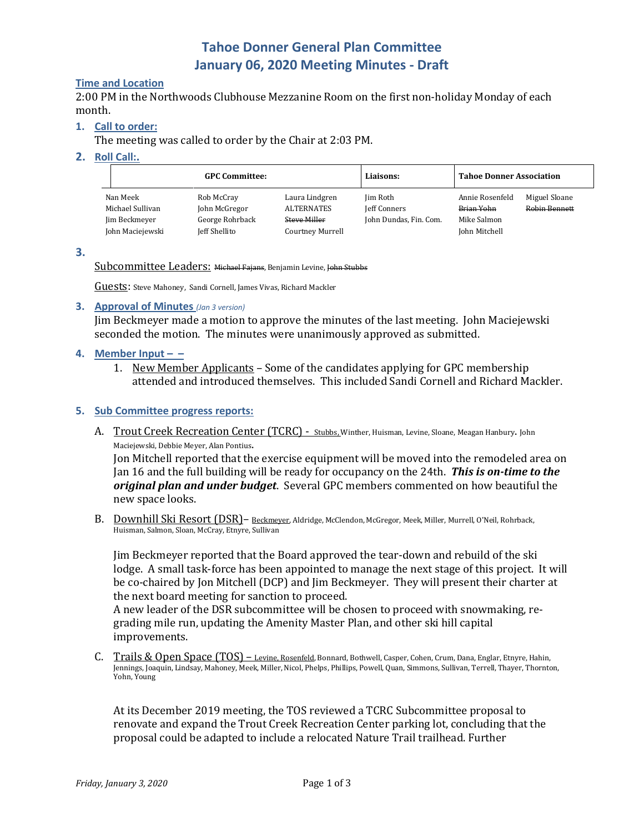# **Tahoe Donner General Plan Committee January 06, 2020 Meeting Minutes - Draft**

#### **Time and Location**

2:00 PM in the Northwoods Clubhouse Mezzanine Room on the first non-holiday Monday of each month.

#### **1. Call to order:**

The meeting was called to order by the Chair at 2:03 PM.

#### **2. Roll Call:.**

| <b>GPC Committee:</b>                                             |                                                                 |                                                                         | Liaisons:                                          | <b>Tahoe Donner Association</b>                               |                                       |
|-------------------------------------------------------------------|-----------------------------------------------------------------|-------------------------------------------------------------------------|----------------------------------------------------|---------------------------------------------------------------|---------------------------------------|
| Nan Meek<br>Michael Sullivan<br>Jim Beckmeyer<br>John Maciejewski | Rob McCray<br>John McGregor<br>George Rohrback<br>Jeff Shellito | Laura Lindgren<br><b>ALTERNATES</b><br>Steve Miller<br>Courtney Murrell | Jim Roth<br>Jeff Conners<br>John Dundas, Fin. Com. | Annie Rosenfeld<br>Brian Yohn<br>Mike Salmon<br>John Mitchell | Miguel Sloane<br><b>Robin Bennett</b> |

**3.**

Subcommittee Leaders: Michael Fajans, Benjamin Levine, John Stubbs

Guests: Steve Mahoney, Sandi Cornell, James Vivas, Richard Mackler

**3. Approval of Minutes** *(Jan 3 version)*

Jim Beckmeyer made a motion to approve the minutes of the last meeting. John Maciejewski seconded the motion. The minutes were unanimously approved as submitted.

#### **4. Member**  $Input -$

1. New Member Applicants – Some of the candidates applying for GPC membership attended and introduced themselves. This included Sandi Cornell and Richard Mackler.

#### **5. Sub Committee progress reports:**

A. Trout Creek Recreation Center (TCRC) - Stubbs, Winther, Huisman, Levine, Sloane, Meagan Hanbury. John Maciejewski, Debbie Meyer, Alan Pontius.

Jon Mitchell reported that the exercise equipment will be moved into the remodeled area on Jan 16 and the full building will be ready for occupancy on the 24th. *This is on-time to the original plan and under budget*. Several GPC members commented on how beautiful the new space looks.

B. Downhill Ski Resort (DSR) - Beckmeyer, Aldridge, McClendon, McGregor, Meek, Miller, Murrell, O'Neil, Rohrback, Huisman, Salmon, Sloan, McCray, Etnyre, Sullivan

Jim Beckmeyer reported that the Board approved the tear-down and rebuild of the ski lodge. A small task-force has been appointed to manage the next stage of this project. It will be co-chaired by Jon Mitchell (DCP) and Jim Beckmeyer. They will present their charter at the next board meeting for sanction to proceed.

A new leader of the DSR subcommittee will be chosen to proceed with snowmaking, regrading mile run, updating the Amenity Master Plan, and other ski hill capital improvements.

C. Trails & Open Space (TOS) - Levine, Rosenfeld, Bonnard, Bothwell, Casper, Cohen, Crum, Dana, Englar, Etnyre, Hahin, Jennings, Joaquin, Lindsay, Mahoney, Meek, Miller, Nicol, Phelps, Phillips, Powell, Quan, Simmons, Sullivan, Terrell, Thayer, Thornton, Yohn, Young

At its December 2019 meeting, the TOS reviewed a TCRC Subcommittee proposal to renovate and expand the Trout Creek Recreation Center parking lot, concluding that the proposal could be adapted to include a relocated Nature Trail trailhead. Further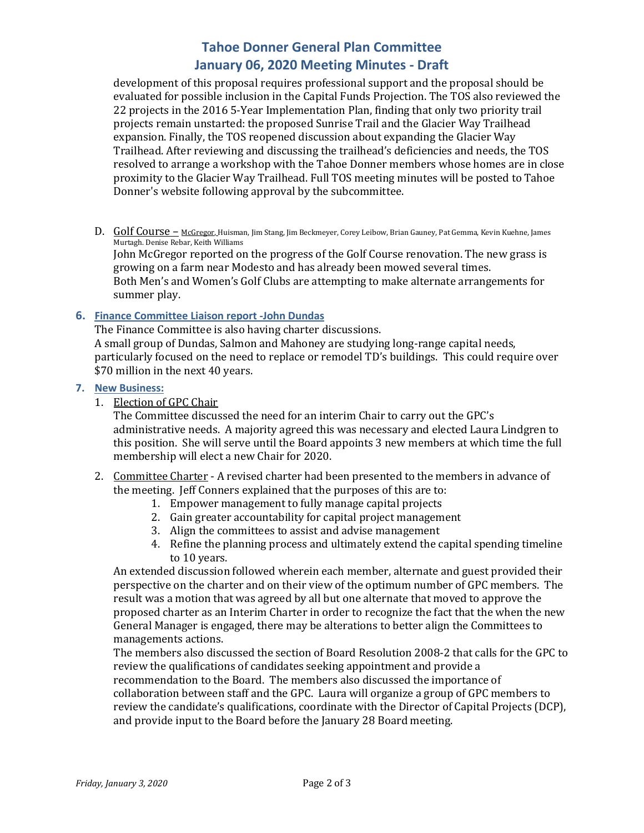# **Tahoe Donner General Plan Committee January 06, 2020 Meeting Minutes - Draft**

development of this proposal requires professional support and the proposal should be evaluated for possible inclusion in the Capital Funds Projection. The TOS also reviewed the 22 projects in the 2016 5-Year Implementation Plan, finding that only two priority trail projects remain unstarted: the proposed Sunrise Trail and the Glacier Way Trailhead expansion. Finally, the TOS reopened discussion about expanding the Glacier Way Trailhead. After reviewing and discussing the trailhead's deficiencies and needs, the TOS resolved to arrange a workshop with the Tahoe Donner members whose homes are in close proximity to the Glacier Way Trailhead. Full TOS meeting minutes will be posted to Tahoe Donner's website following approval by the subcommittee.

D. Golf Course - McGregor, Huisman, Jim Stang, Jim Beckmeyer, Corey Leibow, Brian Gauney, Pat Gemma, Kevin Kuehne, James Murtagh. Denise Rebar, Keith Williams John McGregor reported on the progress of the Golf Course renovation. The new grass is growing on a farm near Modesto and has already been mowed several times. Both Men's and Women's Golf Clubs are attempting to make alternate arrangements for

summer play.

**6. Finance Committee Liaison report -John Dundas**

The Finance Committee is also having charter discussions. A small group of Dundas, Salmon and Mahoney are studying long-range capital needs, particularly focused on the need to replace or remodel TD's buildings. This could require over \$70 million in the next 40 years.

#### **7. New Business:**

1. Election of GPC Chair

The Committee discussed the need for an interim Chair to carry out the GPC's administrative needs. A majority agreed this was necessary and elected Laura Lindgren to this position. She will serve until the Board appoints 3 new members at which time the full membership will elect a new Chair for 2020.

### 2. Committee Charter - A revised charter had been presented to the members in advance of the meeting. Jeff Conners explained that the purposes of this are to:

- 1. Empower management to fully manage capital projects
- 2. Gain greater accountability for capital project management
- 3. Align the committees to assist and advise management
- 4. Refine the planning process and ultimately extend the capital spending timeline to 10 years.

An extended discussion followed wherein each member, alternate and guest provided their perspective on the charter and on their view of the optimum number of GPC members. The result was a motion that was agreed by all but one alternate that moved to approve the proposed charter as an Interim Charter in order to recognize the fact that the when the new General Manager is engaged, there may be alterations to better align the Committees to managements actions.

The members also discussed the section of Board Resolution 2008-2 that calls for the GPC to review the qualifications of candidates seeking appointment and provide a recommendation to the Board. The members also discussed the importance of collaboration between staff and the GPC. Laura will organize a group of GPC members to review the candidate's qualifications, coordinate with the Director of Capital Projects (DCP), and provide input to the Board before the January 28 Board meeting.